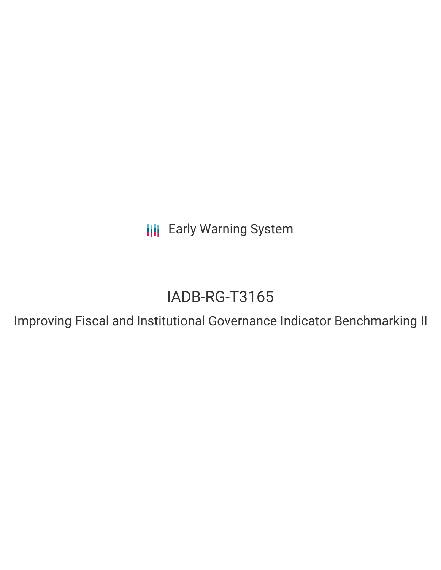**III** Early Warning System

# IADB-RG-T3165

Improving Fiscal and Institutional Governance Indicator Benchmarking II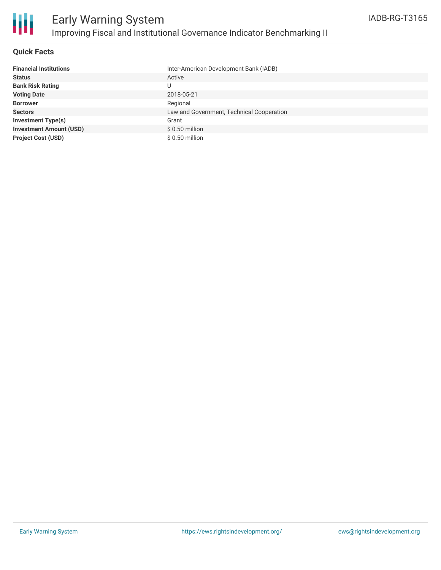

#### **Quick Facts**

| <b>Financial Institutions</b>  | Inter-American Development Bank (IADB)    |
|--------------------------------|-------------------------------------------|
| <b>Status</b>                  | Active                                    |
| <b>Bank Risk Rating</b>        | U                                         |
| <b>Voting Date</b>             | 2018-05-21                                |
| <b>Borrower</b>                | Regional                                  |
| <b>Sectors</b>                 | Law and Government, Technical Cooperation |
| <b>Investment Type(s)</b>      | Grant                                     |
| <b>Investment Amount (USD)</b> | $$0.50$ million                           |
| <b>Project Cost (USD)</b>      | \$ 0.50 million                           |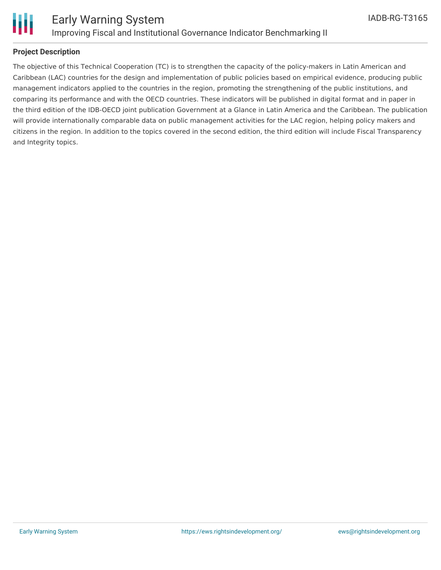

#### **Project Description**

The objective of this Technical Cooperation (TC) is to strengthen the capacity of the policy-makers in Latin American and Caribbean (LAC) countries for the design and implementation of public policies based on empirical evidence, producing public management indicators applied to the countries in the region, promoting the strengthening of the public institutions, and comparing its performance and with the OECD countries. These indicators will be published in digital format and in paper in the third edition of the IDB-OECD joint publication Government at a Glance in Latin America and the Caribbean. The publication will provide internationally comparable data on public management activities for the LAC region, helping policy makers and citizens in the region. In addition to the topics covered in the second edition, the third edition will include Fiscal Transparency and Integrity topics.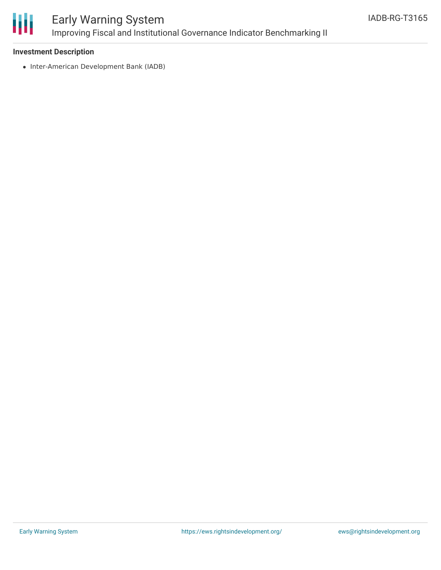

## Early Warning System Improving Fiscal and Institutional Governance Indicator Benchmarking II

#### **Investment Description**

• Inter-American Development Bank (IADB)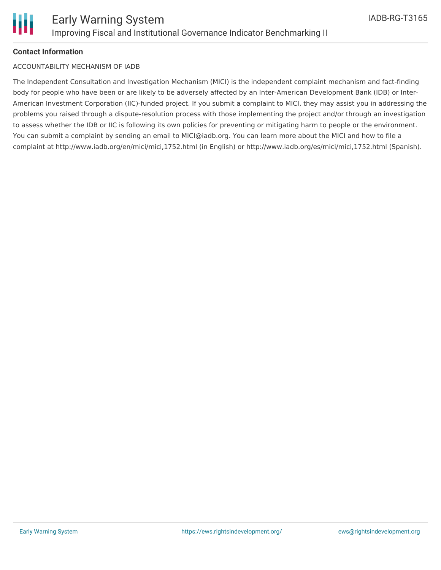### **Contact Information**

#### ACCOUNTABILITY MECHANISM OF IADB

The Independent Consultation and Investigation Mechanism (MICI) is the independent complaint mechanism and fact-finding body for people who have been or are likely to be adversely affected by an Inter-American Development Bank (IDB) or Inter-American Investment Corporation (IIC)-funded project. If you submit a complaint to MICI, they may assist you in addressing the problems you raised through a dispute-resolution process with those implementing the project and/or through an investigation to assess whether the IDB or IIC is following its own policies for preventing or mitigating harm to people or the environment. You can submit a complaint by sending an email to MICI@iadb.org. You can learn more about the MICI and how to file a complaint at http://www.iadb.org/en/mici/mici,1752.html (in English) or http://www.iadb.org/es/mici/mici,1752.html (Spanish).